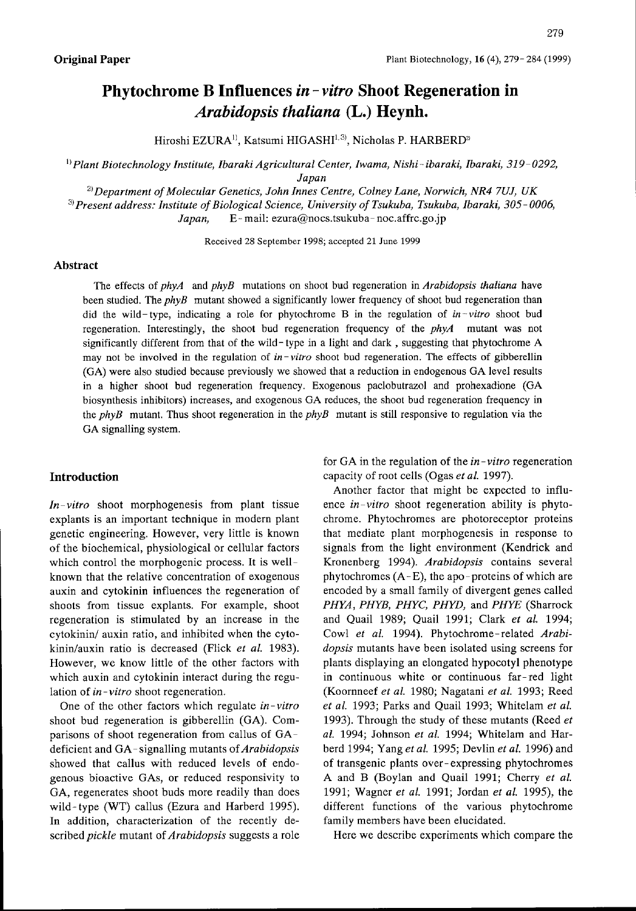# Phytochrome B Influences *in – vitro* Shoot Regeneration in Arabidopsis thaliana (L.) Heynh.

Hiroshi EZURA<sup>1)</sup>, Katsumi HIGASHI<sup>1,3)</sup>, Nicholas P. HARBERD<sup>2</sup>

<sup>1)</sup> Plant Biotechnology Institute, Ibaraki Agricultural Center, Iwama, Nishi-ibaraki, Ibaraki, 319-0292, Japan

 $^{2)}$ Department of Molecular Genetics, John Innes Centre, Colney Lane, Norwich, NR4 7UJ, UK  $3)$  Present address: Institute of Biological Science, University of Tsukuba, Tsukuba, Ibaraki, 305-0006, Japan,  $E$ -mail: ezura@nocs.tsukuba-noc.affrc.go.jp

Received 28 September 1998; accepted 21 June 1999

#### Abstract

The effects of  $phyA$  and  $phyB$  mutations on shoot bud regeneration in Arabidopsis thaliana have been studied. The *phyB* mutant showed a significantly lower frequency of shoot bud regeneration than did the wild-type, indicating a role for phytochrome B in the regulation of  $in$ -vitro shoot bud regeneration. Interestingly, the shoot bud regeneration frequency of the  $phyA$  mutant was not significantly different from that of the wild- type in a light and dark , suggesting that phytochrome A may not be involved in the regulation of in-vitro shoot bud regeneration. The effects of gibberellin (GA) were also studied because previously we showed that a reduction in endogenous GA Ievel results in a higher shoot bud regeneration frequency. Exogenous paclobutrazol and prohexadione (GA biosynthesis inhibitors) increases, and exogenous GA reduces, the shoot bud regeneration frequency in the  $phyB$  mutant. Thus shoot regeneration in the  $phyB$  mutant is still responsive to regulation via the GA signalling system.

## Introduction

 $In-vitro$  shoot morphogenesis from plant tissue explants is an important technique in modern plant genetic engineering. However, very little is known of the biochemical, physiological or cellular factors which control the morphogenic process. It is wellknown that the relative concentration of exogenous auxin and cytokinin influences the regeneration of shoots from tissue explants. For example, shoot regeneration is stimulated by an increase in the cytokinin/ auxin ratio, and inhibited when the cytokinin/auxin ratio is decreased (Flick et al. 1983). However, we know little of the other factors with which auxin and cytokinin interact during the regulation of in-vitro shoot regeneration.

One of the other factors which regulate  $in-vitro$ shoot bud regeneration is gibberellin (GA). Comparisons of shoot regeneration from callus of GAdeficient and GA-signalling mutants of  $Arabidopsis$ showed that callus with reduced levels of endogenous bioactive GAs, or reduced responsivity to GA, regenerates shoot buds more readily than does wild-type (WT) callus (Ezura and Harberd 1995). In addition, characterization of the recently described *pickle* mutant of *Arabidopsis* suggests a role

for GA in the regulation of the *in-vitro* regeneration capacity of root cells (Ogas et al. 1997).

Another factor that might be expected to influence  $in-vitro$  shoot regeneration ability is phytochrome. Phytochromes are photoreceptor proteins that mediate plant morphogenesis in response to signals from the light environment (Kendrick and Kronenberg 1994). Arabidopsis contains several phytochromes  $(A - E)$ , the apo-proteins of which are encoded by a small family of divergent genes called PHYA, PHYB, PHYC, PHYD, and PHYE (Sharrock and Ouail 1989; Quail 1991; Clark et al. 1994; Cowl et al. 1994). Phytochrome-related Arabidopsis mutants have been isolated using screens for plants displaying an elongated hypocotyl phenotype in continuous white or continuous far-red light (Koornneef et al. 1980; Nagatani et al. 1993; Reed et al. 1993; Parks and Quail 1993; Whitelam et al. 1993). Through the study of these mutants (Reed et al. 1994; Johnson et al. 1994; Whitelam and Harberd 1994; Yang et al. 1995; Devlin et al. 1996) and of transgenic plants over-expressing phytochromes A and B (Boylan and Quail 1991; Cherry et al. 1991; Wagner et al. 1991; Jordan et al. 1995), the different functions of the various phytochrome family members have been elucidated.

Here we describe experiments which compare the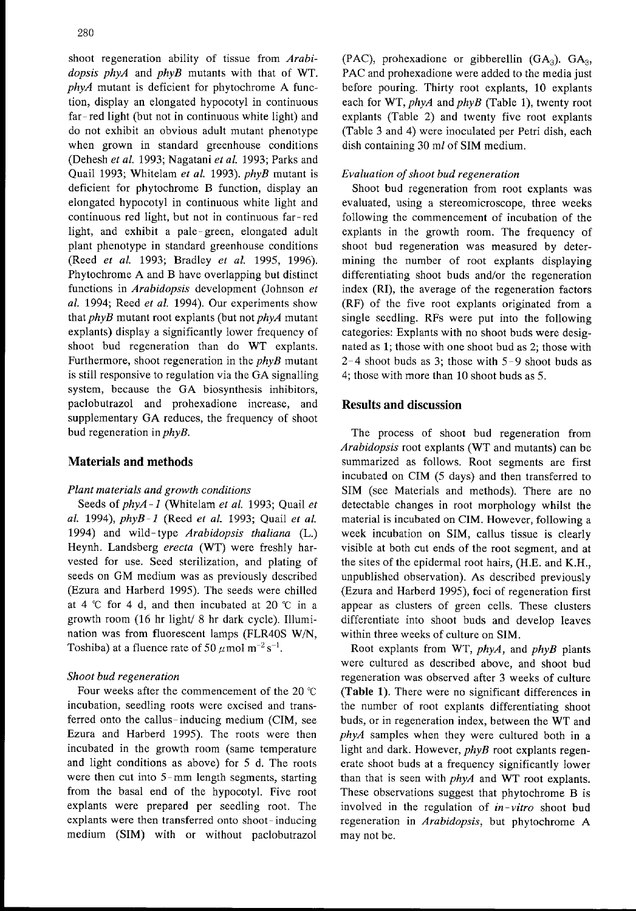shoot regeneration ability of tissue from Arabidopsis phyA and phyB mutants with that of WT. phyA mutant is deficient for phytochrome A function, display an elongated hypocotyl in continuous far-red light (but not in continuous white light) and do not exhibit an obvious adult mutant phenotype when grown in standard greenhouse conditions (Dehesh et al. 1993; Nagatani et al. 1993; Parks and Quail 1993; Whitelam et al. 1993). phyB mutant is deficient for phytochrome B function, display an elongated hypocotyl in continuous white light and continuous red light, but not in continuous far-red light, and exhibit a pale-green, elongated adult plant phenotype in standard greenhouse conditions (Reed et al. 1993; Bradley et al. 1995, 1996). Phytochrome A and B have overlapping but distinct functions in Arabidopsis development (Johnson et al. 1994; Reed et al. 1994). Our experiments show that  $phyB$  mutant root explants (but not  $phyA$  mutant explants) display a significantly lower frequency of shoot bud regeneration than do WT explants. Furthermore, shoot regeneration in the  $phyB$  mutant is still responsive to regulation via the GA signalling system, because the GA biosynthesis inhibitors, paclobutrazol and prohexadione increase, and supplementary GA reduces, the frequency of shoot bud regeneration in  $phyB$ .

## Materials and methods

## Plant materials and growth conditions

Seeds of  $phyA-1$  (Whitelam et al. 1993; Quail et al. 1994),  $phyB-I$  (Reed et al. 1993; Quail et al. 1994) and wild-type Arabidopsis thaliana (L.) Heynh. Landsberg erecta (WT) were freshly harvested for use. Seed sterilization, and plating of seeds on GM medium was as previously described (Ezura and Harberd 1995). The seeds were chilled at 4  $\degree$ C for 4 d, and then incubated at 20  $\degree$ C in a growth room (16 hr light/ 8 hr dark cycle). 11lumination was from fluorescent lamps (FLR40S W/N, Toshiba) at a fluence rate of 50  $\mu$  mol m<sup>-2</sup> s<sup>-1</sup>

#### Shoot bud regeneration

Four weeks after the commencement of the 20 'C incubation, seedling roots were excised and transferred onto the callus-inducing medium (CIM, see Ezura and Harberd 1995). The roots were then incubated in the growth room (same temperature and light conditions as above) for 5 d. The roots were then cut into 5-mm length segments, starting from the basal end of the hypocotyl. Five root explants were prepared per seedling root. The explants were then transferred onto shoot- inducing medium (SIM) with or without paclobutrazol

(PAC), prohexadione or gibberellin  $(GA_3)$ .  $GA_3$ , PAC and prohexadione were added to the media just before pouring. Thirty root explants, 10 explants each for WT,  $phvA$  and  $phvB$  (Table 1), twenty root explants (Table 2) and twenty five root explants (Table 3 and 4) were inoculated per Petri dish, each dish containing 30 ml of SIM medium.

### Evaluation of shoot bud regeneration

Shoot bud regeneration from root explants was evaluated, using a stereomicroscope, three weeks following the commencement of incubation of the explants in the growth room. The frequency of shoot bud regeneration was measured by determining the number of root explants displaying differentiating shoot buds and/or the regeneration index (RI), the average of the regeneration factors (RF) of the five root explants originated from a single seedling. RFS Were put into the following categories: Explants with no shoot buds were designated as 1; those with one shoot bud as 2; those with  $2-4$  shoot buds as 3; those with  $5-9$  shoot buds as 4; those with more than 10 shoot buds as 5.

## Results and discussion

The process of shoot bud regeneration from Arabidopsis root explants (WT and mutants) can be summarized as follows. Root segments are first incubated on CIM (5 days) and then transferred to SIM (see Materials and methods). There are no detectable changes in root morphology whilst the material is incubated on CIM. However, following a week incubation on SIM, callus tissue is clearly visible at both cut ends of the root segment, and at the sites of the epidermal root hairs, (H.E. and K.H., unpublished observation). As described previously (Ezura and Harberd 1995), foci of regeneration first appear as clusters of green cells. These clusters differentiate into shoot buds and develop leaves within three weeks of culture on SIM.

Root explants from WT, phyA, and phyB plants were cultured as described above, and shoot bud regeneration was observed after 3 weeks of culture (Table 1). There were no significant differences in the number of root explants differentiating shoot buds, or in regeneration index, between the WT and phyA samples when they were cultured both in a light and dark. However, phyB root explants regenerate shoot buds at a frequency significantly lower than that is seen with *phyA* and WT root explants. These observations suggest that phytochrome B is involved in the regulation of  $in$ -vitro shoot bud regeneration in Arabidopsis, but phytochrome A may not be.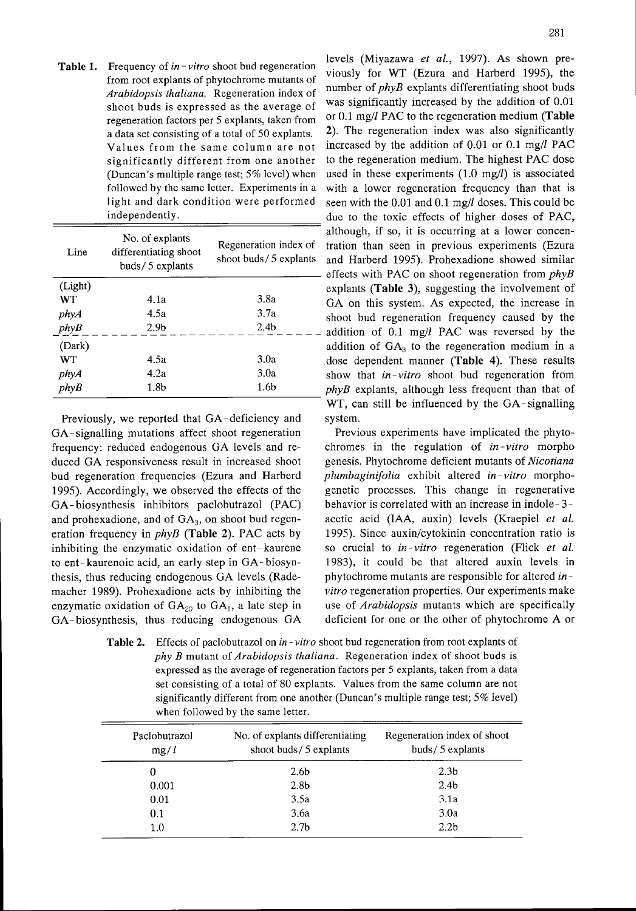**Table 1.** Frequency of  $in-vitro$  shoot bud regeneration a data set consisting of a total of 50 explants. followed by the same letter. Experiments in a

| Line    | No. of explants<br>differentiating shoot<br>buds/ $5$ explants | Regeneration index of<br>shoot buds/5 explants | although, if so, it is occurring at a lower concen-<br>tration than seen in previous experiments (Ezura<br>and Harberd 1995). Prohexadione showed similar<br>effects with PAC on shoot regeneration from $phys$ |
|---------|----------------------------------------------------------------|------------------------------------------------|-----------------------------------------------------------------------------------------------------------------------------------------------------------------------------------------------------------------|
| (Light) |                                                                |                                                | explants (Table 3), suggesting the involvement of                                                                                                                                                               |
| WT.     | 4.1a                                                           | 3.8a                                           | GA on this system. As expected, the increase in                                                                                                                                                                 |
| phyA    | 4.5a                                                           | 3.7a                                           | shoot bud regeneration frequency caused by the                                                                                                                                                                  |
| phyB    | 2.9 <sub>b</sub>                                               | 2.4 <sub>b</sub>                               | addition of 0.1 mg/l PAC was reversed by the                                                                                                                                                                    |
| (Dark)  |                                                                |                                                | addition of $GA_3$ to the regeneration medium in a                                                                                                                                                              |
| WT.     | 4.5a                                                           | 3.0a                                           | dose dependent manner (Table 4). These results                                                                                                                                                                  |
| phyA    | 4.2a                                                           | 3.0a                                           | show that <i>in-vitro</i> shoot bud regeneration from                                                                                                                                                           |
| phyB    | 1.8 <sub>b</sub>                                               | 1.6 <sub>b</sub>                               | <i>phyB</i> explants, although less frequent than that of                                                                                                                                                       |
|         |                                                                |                                                |                                                                                                                                                                                                                 |

Previously, we reported that GA-deficiency and system. GA-signalling mutations affect shoot regeneration Previous experiments have implicated the phytofrequency: reduced endogenous GA levels and re-<br>chromes in the regulation of  $in-vitro$  morpho duced GA responsiveness result in increased shoot genesis. Phytochrome deficient mutants of Nicotiana bud regeneration frequencies (Ezura and Harberd plumbaginifolia exhibit altered in-vitro morpho-1995). Accordingly, we observed the effects of the genetic processes. This change in regenerative GA-biosynthesis inhibitors paclobutrazol (PAC) behavior is correlated with an increase in indole-3 and prohexadione, and of  $GA_3$ , on shoot bud regen- acetic acid (IAA, auxin) levels (Kraepiel et al. eration frequency in *phyB* (Table 2). PAC acts by 1995). Since auxin/cytokinin concentration ratio is inhibiting the enzymatic oxidation of ent-kaurene so crucial to  $in$ -vitro regeneration (Flick et al. to ent-kaurenoic acid, an early step in GA-biosyn- 1983), it could be that altered auxin levels in thesis, thus reducing endogenous GA levels (Rade-<br>phytochrome mutants are responsible for altered inmacher 1989). Prohexadione acts by inhibiting the vitro regeneration properties. Our experiments make enzymatic oxidation of  $GA_{20}$  to  $GA_1$ , a late step in GA-biosynthesis, thus reducing endogenous GA deficient for one or the other of phytochrome A or

levels (Miyazawa et al., 1997). As shown pre-Frequency of  $m$ –*vitro* shoot bud regeneration viously for WT (Ezura and Harberd 1995), the from root explants of phytochrome mutants of Arabidopsis thaliana. Regeneration index of number of phyB explants differentiating shoot buds shoot buds is expressed as the average of was significantly increased by the addition of 0.01 regeneration factors per 5 explants, taken from or 0.1 mg/l PAC to the regeneration medium (Table  $2$ ). The regeneration index was also significantly Values from the same column are not increased by the addition of 0.01 or 0.1 mg/1 PAC significantly different from one another to the regeneration medium. The highest PAC dose (Duncan's multiple range test; 5% Ievel) when used in these experiments (1.0 mg/1) is associated with a lower regeneration frequency than that is light and dark condition were performed seen with the  $0.01$  and  $0.1$  mg/ $l$  doses. This could be independently.  $\qquad \qquad \text{due to the toxic effects of higher doses of PAC,}$ although, if so, it is occurring at a lower concentration than seen in previous experiments (Ezura and Harberd 1995). Prohexadione showed similar effects with PAC on shoot regeneration from phyB explants (Table 3), suggesting the involvement of GA on this system. As expected, the increase in shoot bud regeneration frequency caused by the addition of 0.1 mg/1 PAC was reversed by the addition of  $GA<sub>3</sub>$  to the regeneration medium in a dose dependent manner (Table 4). These results  $phyB$  explants, although less frequent than that of WT, can still be influenced by the GA-signalling

use of Arabidopsis mutants which are specifically

**Table 2.** Effects of paclobutrazol on in-vitro shoot bud regeneration from root explants of  $phy B$  mutant of Arabidopsis thaliana. Regeneration index of shoot buds is expressed as the average of regeneration factors per 5 explants, taken from a data set consisting of a total of 80 explants. Values from the same column are not significantly different from one another (Duncan's multiple range test; 5% Ievel) when followed by the same letter.

| Paclobutrazol<br>mg/l | No. of explants differentiating<br>shoot buds/5 explants | Regeneration index of shoot<br>buds/5 explants |  |
|-----------------------|----------------------------------------------------------|------------------------------------------------|--|
| 0                     | 2.6 <sub>b</sub>                                         | 2.3 <sub>b</sub>                               |  |
| 0.001                 | 2.8 <sub>b</sub>                                         | 2.4 <sub>b</sub>                               |  |
| 0.01                  | 3.5a                                                     | 3.1a                                           |  |
| 0.1                   | 3.6a                                                     | 3.0a                                           |  |
| 1.0                   | 2.7 <sub>b</sub>                                         | 2.2 <sub>b</sub>                               |  |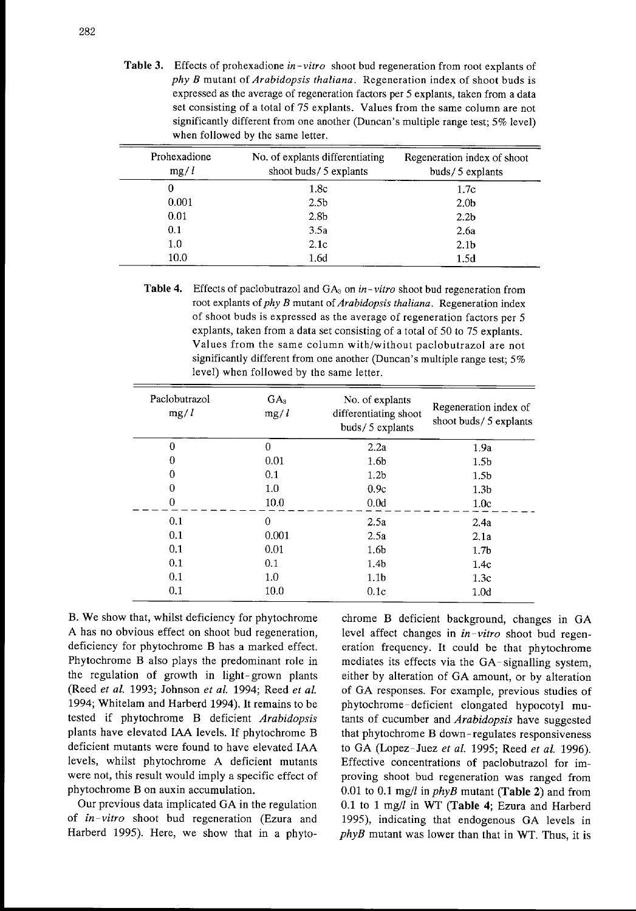**Table 3.** Effects of prohexadione in-vitro shoot bud regeneration from root explants of  $phy B$  mutant of Arabidopsis thaliana. Regeneration index of shoot buds is expressed as the average of regeneration factors per 5 explants, taken from a data set consisting of a total of 75 explants. Values from the same column are not significantly different from one another (Duncan's multiple range test; 5% level) when followed by the same letter.

| Prohexadione<br>mg/l | No. of explants differentiating<br>shoot buds/5 explants | Regeneration index of shoot<br>buds/5 explants |
|----------------------|----------------------------------------------------------|------------------------------------------------|
| 0                    | 1.8c                                                     | 1.7c                                           |
| 0.001                | 2.5 <sub>b</sub>                                         | 2.0 <sub>b</sub>                               |
| 0.01                 | 2.8 <sub>b</sub>                                         | 2.2 <sub>b</sub>                               |
| 0.1                  | 3.5a                                                     | 2.6a                                           |
| 1.0                  | 2.1c                                                     | 2.1 <sub>b</sub>                               |
| 10.0                 | 1.6d                                                     | 1.5d                                           |

Table 4. Effects of paclobutrazol and  $GA_3$  on in-vitro shoot bud regeneration from root explants of  $phy B$  mutant of Arabidopsis thaliana. Regeneration index of shoot buds is expressed as the average of regeneration factors per 5 explants, taken from a data set consisting of a total of 50 to 75 explants. Values from the same column with/without paclobutrazol are not significantly different from one another (Duncan's multiple range test; 5% level) when followed by the same letter.

| Paclobutrazol<br>mg/l | GA <sub>3</sub><br>mg/l | No. of explants<br>differentiating shoot<br>buds/5 explants | Regeneration index of<br>shoot buds/5 explants |
|-----------------------|-------------------------|-------------------------------------------------------------|------------------------------------------------|
| 0                     | 0                       | 2.2a                                                        | 1.9a                                           |
| 0                     | 0.01                    | 1.6 <sub>b</sub>                                            | 1.5 <sub>b</sub>                               |
| 0                     | 0.1                     | 1.2 <sub>b</sub>                                            | 1.5 <sub>b</sub>                               |
| 0                     | 1.0                     | 0.9c                                                        | 1.3 <sub>b</sub>                               |
| 0                     | 10.0                    | 0.0d                                                        | 1.0c                                           |
| 0.1                   | 0                       | 2.5a                                                        | 2.4a                                           |
| 0.1                   | 0.001                   | 2.5a                                                        | 2.1a                                           |
| 0.1                   | 0.01                    | 1.6 <sub>b</sub>                                            | 1.7 <sub>b</sub>                               |
| 0.1                   | 0.1                     | 1.4 <sub>b</sub>                                            | 1.4c                                           |
| 0.1                   | $1.0\,$                 | 1.1 <sub>b</sub>                                            | 1.3c                                           |
| 0.1                   | 10.0                    | 0.1c                                                        | 1.0 <sub>d</sub>                               |

B. We show that, whilst deficiency for phytochrome A has no obvious effect on shoot bud regeneration, deficiency for phytochrome B has <sup>a</sup> marked effect. Phytochrome B also plays the predominant role in the regulation of growth in light-grown plants (Reed et al. 1993; Johnson et al. 1994; Reed et al. 1994; Whitelam and Harberd 1994). It remains to be tested if phytochrome B deficient Arabidopsis plants have elevated IAA Ievels. If phytochrome B deficient mutants were found to have elevated IAA levels, whilst phytochrome A deficient mutants were not, this result would imply a specific effect of phytochrome B on auxin accumulation.

Our previous data implicated GA in the regulation of *in-vitro* shoot bud regeneration (Ezura and Harberd 1995). Here, we show that in a phyto-

chrome B deficient background, changes in GA level affect changes in in-vitro shoot bud regeneration frequency. It could be that phytochrome mediates its effects via the GA-signalling system, either by alteration of GA amount, or by alteration of GA responses. For example, previous studies of phytochrome-deficient elongated hypocotyl mutants of cucumber and Arabidopsis have suggested that phytochrome B down-regulates responsiveness to GA (Lopez-Juez et al. 1995; Reed et al. 1996). Effective concentrations of paclobutrazol for improving shoot bud regeneration was ranged from 0.01 to 0.1 mg/l in  $phyB$  mutant (Table 2) and from 0.1 to 1 mg/l in WT (Table 4; Ezura and Harberd 1995), indicating that endogenous GA Ievels in  $phyB$  mutant was lower than that in WT. Thus, it is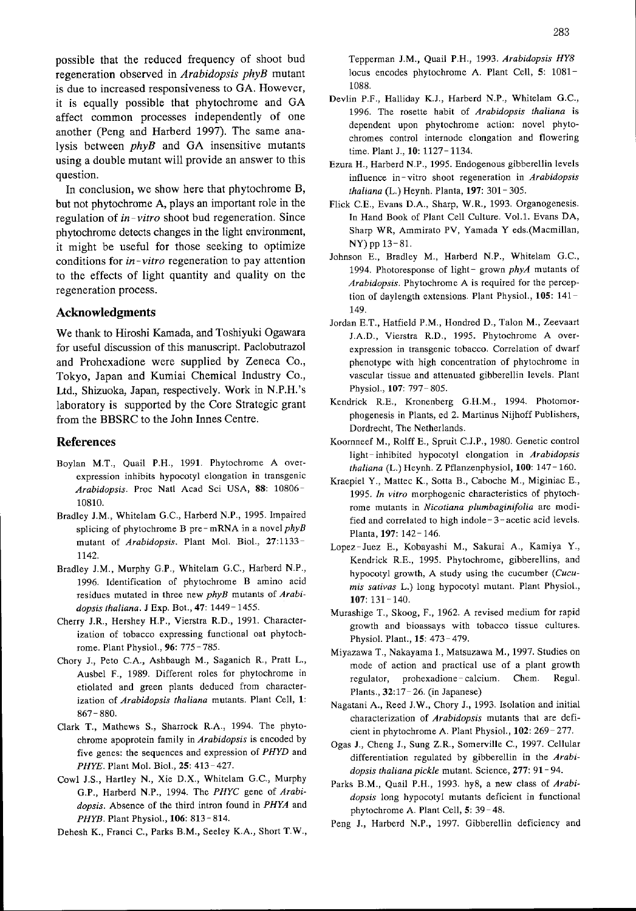possible that the reduced frequency of shoot bud regeneration observed in Arabidopsis phyB mutant is due to increased responsiveness to GA. However, it is equally possible that phytochrome and GA affect common processes independently of one another (Peng and Harberd 1997). The same analysis between  $phyB$  and GA insensitive mutants using a double mutant will provide an answer to this question.

In conclusion, we show here that phytochrome B, but not phytochrome A, plays an important role in the regulation of  $in$ -vitro shoot bud regeneration. Since phytochrome detects changes in the light environment, it might be useful for those seeking to optimize conditions for in-vitro regeneration to pay attention to the effects of light quantity and quality on the regeneration process.

## Acknowledgments

We thank to Hiroshi Kamada, and Toshiyuki Ogawara for useful discussion of this manuscript. Paclobutrazol and Prohexadione were supplied by Zeneca Co., Tokyo, Japan and Kumiai Chemical Industry Co., Ltd., Shizuoka, Japan, respectively. Work in N.P.H.'s laboratory is supported by the Core Strategic grant from the BBSRC to the John Innes Centre.

#### References

- Boylan M.T , Quail P.H , <sup>1991</sup> Phytochrome A overexpression inhibits hypocotyl elongation in transgenic Arabidopsis. Proc Natl Acad Sci USA, 88: 10806- 10810.
- Bradley J.M., Whitelam G.C., Harberd N.P., 1995. Impaired splicing of phytochrome B pre-mRNA in a novel  $phys$ mutant of Arabidopsis. Plant Mol. Biol., 27:1133-1142.
- Bradley J.M., Murphy G.P., Whitelam G.C., Harberd N.P., 1996. Identification of phytochrome B amino acid residues mutated in three new phyB mutants of Arabidopsis thaliana. J Exp. Bot., 47: 1449-1455.
- Cherry J.R., Hershey H.P., Vierstra R.D., 1991. Characterization of tobacco expressing functional oat phytochrome. Plant Physiol., 96: 775 - 785
- Chory J., Peto C.A., Ashbaugh M., Saganich R , Pratt L., Ausbel F., 1989. Different roles for phytochrome in etiolated and green plants deduced from characterization of Arabidopsis thaliana mutants. Plant Cell, 1:  $867 - 880.$
- Clark T., Mathews S., Sharrock R.A., 1994. The phytochrome apoprotein family in Arabidopsis is encoded by five genes: the sequences and expression of PHYD and PHYE. Plant Mol. Biol., 25: 413- 427.
- Cowl J.S., Hartley N., Xie D.X., Whitelam G.C., Murphy G.P., Harberd N.P., 1994. The PHYC gene of Arabidopsis. Absence of the third intron found in PHYA and PHYB. Plant Physiol., 106: 813 - 814.

Dehesh K., Franci C., Parks B.M., Seeley K.A., Short T.W.,

Tepperman J.M., Quail P.H., 1993. Arabidopsis HY8 10cus encodes phytochrome A. Plant Cell, 5: 1081- 1088

- Devlin P.F., Halliday K.J., Harberd N.P., Whitelam G.C., 1996. The rosette habit of Arabidopsis thaliana is dependent upon phytochrome action: novel phytochromes control internode elongation and flowering time. Plant J., 10: 1127-1134.
- Ezura H , Harberd N P., 1995. Endogenous gibberellin levels influence in-vitro shoot regeneration in *Arabidopsis* thaliana (L.) Heynh. Planta, 197: 301 - 305.
- Flick C.E., Evans D.A., Sharp, W.R., 1993. Organogenesis In Hand Book of Plant Cell Culture. Vol.1. Evans DA, Sharp WR, Ammirato PV, Yamada Y eds.(Macmillan, NY) pp 13-81.
- Johnson E., Bradley M., Harberd N.P., Whitelam G.C., 1994. Photoresponse of light- grown phyA mutants of Arabidopsis. Phytochrome A is required for the perception of daylength extensions Plant Physiol., 105: 141- 149.
- Jordan E.T., Hatfield P.M., Hondred D., Talon M., Zeevaart JA D., Vierstra R.D , 1995. Phytochrome A overexpression in transgenic tobacco. Correlation of dwarf phenotype with high concentration of phytochrome in vascular tissue and attenuated gibberellin levels. Plant Physiol., 107: 797- 805.
- Kendrick R.E\_, Kronenberg G.H.M , 1994. Photamorphogenesis in Plants, ed 2. Martinus Nijhoff Publishers, Dordrecht, The Netherlands.
- Koornneef M., Rolff E., Spruit C.J.P., 1980. Genetic control light-inhibited hypocotyl elongation in Arabidopsis thaliana (L.) Heynh. Z Pflanzenphysiol,  $100: 147-160$ .
- Kraepiel Y , Mattec K., Sotta B., Caboche M , Miginiac E , 1995. In vitro morphogenic characteristics of phytochrome mutants in Nicotiana plumbaginifolia are modified and correlated to high indole $-3$ -acetic acid levels. Planta, 197: 142- 146.
- Lopez-Juez E., Kobayashi M., Sakurai A , Kamiya Y , Kendrick R.E., 1995. Phytochrome, gibberellins, and hypocotyl growth, A study using the cucumber (Cucumis sativas L.) Iong hypocotyl mutant. Plant Physiol.,  $107:131 - 140.$
- Murashige T., Skoog, F., 1962. A revised medium for rapid growth and bioassays with tobacco tissue cultures. -<br>Physiol. Plant., **15**: 473-479.
- Miyazawa T., Nakayama I., Matsuzawa M., 1997. Studies on mode of action and practical use of a plant growth regulator, prohexadione-calcium. Chem. Regul Plants., 32:17- 26. (in Japanese)
- Nagatani A., Reed J.W., Chory J., 1993. Isolation and initial characterization of Arabidopsis mutants that are deficient in phytochrome A. Plant Physiol., 102: 269-277.
- Ogas J, Cheng J., Sung Z.R , Somerville C., 1997. Cellular differentiation regulated by gibberellin in the Arabidopsis thaliana pickle mutant. Science, 277: 91 - 94.
- Parks B.M., Quail P.H., 1993. hy8, a new class of Arabidopsis long hypocotyl mutants deficient in functional phytochrome A. Plant Cell, 5: 39-48.
- Peng J., Harberd N.P., 1997. Gibberellin deficiency and